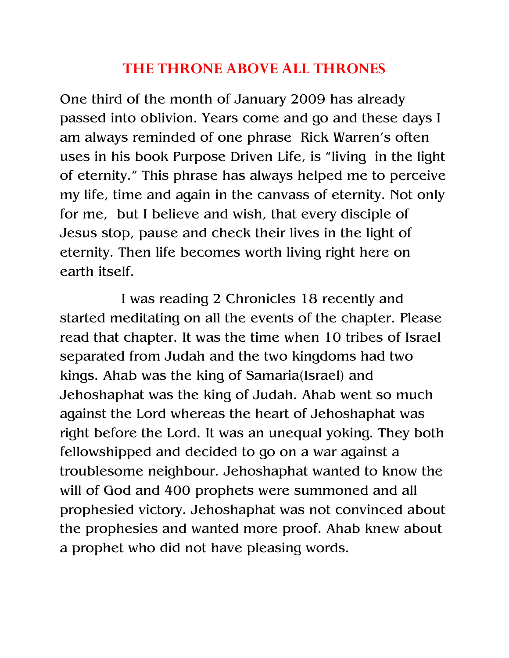## THE THRONE ABOVE ALL THRONES

One third of the month of January 2009 has already passed into oblivion. Years come and go and these days I am always reminded of one phrase Rick Warren's often uses in his book Purpose Driven Life, is "living in the light of eternity." This phrase has always helped me to perceive my life, time and again in the canvass of eternity. Not only for me, but I believe and wish, that every disciple of Jesus stop, pause and check their lives in the light of eternity. Then life becomes worth living right here on earth itself.

 I was reading 2 Chronicles 18 recently and started meditating on all the events of the chapter. Please read that chapter. It was the time when 10 tribes of Israel separated from Judah and the two kingdoms had two kings. Ahab was the king of Samaria(Israel) and Jehoshaphat was the king of Judah. Ahab went so much against the Lord whereas the heart of Jehoshaphat was right before the Lord. It was an unequal yoking. They both fellowshipped and decided to go on a war against a troublesome neighbour. Jehoshaphat wanted to know the will of God and 400 prophets were summoned and all prophesied victory. Jehoshaphat was not convinced about the prophesies and wanted more proof. Ahab knew about a prophet who did not have pleasing words.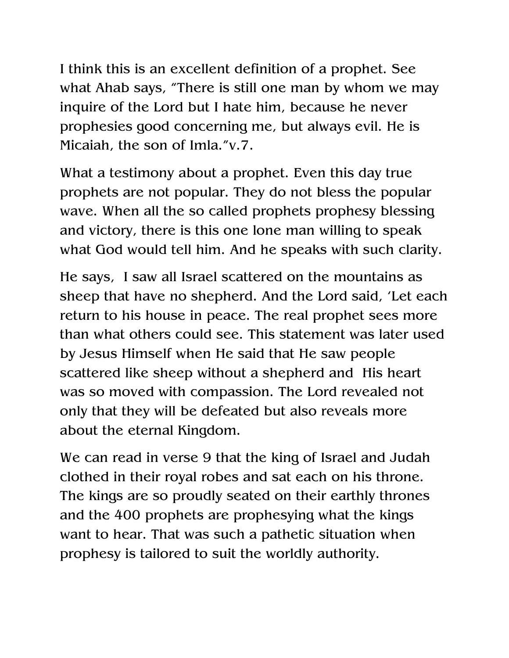I think this is an excellent definition of a prophet. See what Ahab says, "There is still one man by whom we may inquire of the Lord but I hate him, because he never prophesies good concerning me, but always evil. He is Micaiah, the son of Imla."v.7.

What a testimony about a prophet. Even this day true prophets are not popular. They do not bless the popular wave. When all the so called prophets prophesy blessing and victory, there is this one lone man willing to speak what God would tell him. And he speaks with such clarity.

He says, I saw all Israel scattered on the mountains as sheep that have no shepherd. And the Lord said, 'Let each return to his house in peace. The real prophet sees more than what others could see. This statement was later used by Jesus Himself when He said that He saw people scattered like sheep without a shepherd and His heart was so moved with compassion. The Lord revealed not only that they will be defeated but also reveals more about the eternal Kingdom.

We can read in verse 9 that the king of Israel and Judah clothed in their royal robes and sat each on his throne. The kings are so proudly seated on their earthly thrones and the 400 prophets are prophesying what the kings want to hear. That was such a pathetic situation when prophesy is tailored to suit the worldly authority.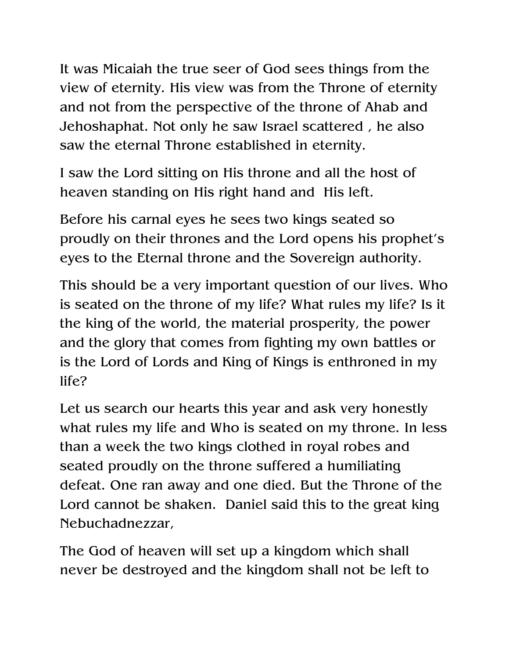It was Micaiah the true seer of God sees things from the view of eternity. His view was from the Throne of eternity and not from the perspective of the throne of Ahab and Jehoshaphat. Not only he saw Israel scattered , he also saw the eternal Throne established in eternity.

I saw the Lord sitting on His throne and all the host of heaven standing on His right hand and His left.

Before his carnal eyes he sees two kings seated so proudly on their thrones and the Lord opens his prophet's eyes to the Eternal throne and the Sovereign authority.

This should be a very important question of our lives. Who is seated on the throne of my life? What rules my life? Is it the king of the world, the material prosperity, the power and the glory that comes from fighting my own battles or is the Lord of Lords and King of Kings is enthroned in my life?

Let us search our hearts this year and ask very honestly what rules my life and Who is seated on my throne. In less than a week the two kings clothed in royal robes and seated proudly on the throne suffered a humiliating defeat. One ran away and one died. But the Throne of the Lord cannot be shaken. Daniel said this to the great king Nebuchadnezzar,

The God of heaven will set up a kingdom which shall never be destroyed and the kingdom shall not be left to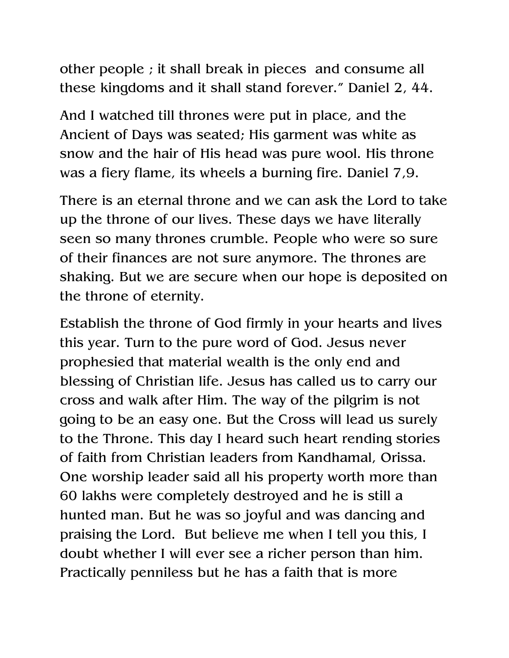other people ; it shall break in pieces and consume all these kingdoms and it shall stand forever." Daniel 2, 44.

And I watched till thrones were put in place, and the Ancient of Days was seated; His garment was white as snow and the hair of His head was pure wool. His throne was a fiery flame, its wheels a burning fire. Daniel 7,9.

There is an eternal throne and we can ask the Lord to take up the throne of our lives. These days we have literally seen so many thrones crumble. People who were so sure of their finances are not sure anymore. The thrones are shaking. But we are secure when our hope is deposited on the throne of eternity.

Establish the throne of God firmly in your hearts and lives this year. Turn to the pure word of God. Jesus never prophesied that material wealth is the only end and blessing of Christian life. Jesus has called us to carry our cross and walk after Him. The way of the pilgrim is not going to be an easy one. But the Cross will lead us surely to the Throne. This day I heard such heart rending stories of faith from Christian leaders from Kandhamal, Orissa. One worship leader said all his property worth more than 60 lakhs were completely destroyed and he is still a hunted man. But he was so joyful and was dancing and praising the Lord. But believe me when I tell you this, I doubt whether I will ever see a richer person than him. Practically penniless but he has a faith that is more